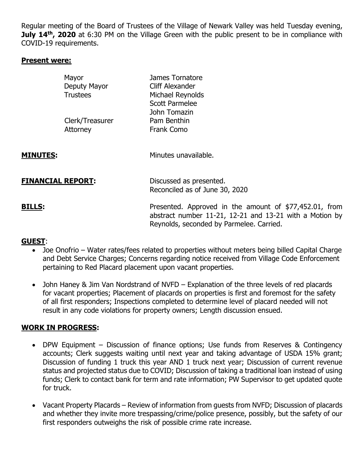Regular meeting of the Board of Trustees of the Village of Newark Valley was held Tuesday evening, **July 14<sup>th</sup>, 2020** at 6:30 PM on the Village Green with the public present to be in compliance with COVID-19 requirements.

#### **Present were:**

|                          | Mayor<br>Deputy Mayor<br><b>Trustees</b> | James Tornatore<br>Cliff Alexander<br>Michael Reynolds<br><b>Scott Parmelee</b><br>John Tomazin                                                               |
|--------------------------|------------------------------------------|---------------------------------------------------------------------------------------------------------------------------------------------------------------|
|                          | Clerk/Treasurer<br>Attorney              | Pam Benthin<br>Frank Como                                                                                                                                     |
| MINUTES:                 |                                          | Minutes unavailable.                                                                                                                                          |
| <b>FINANCIAL REPORT:</b> |                                          | Discussed as presented.<br>Reconciled as of June 30, 2020                                                                                                     |
| <b>BILLS:</b>            |                                          | Presented. Approved in the amount of \$77,452.01, from<br>abstract number 11-21, 12-21 and 13-21 with a Motion by<br>Reynolds, seconded by Parmelee. Carried. |

## **GUEST**:

- Joe Onofrio Water rates/fees related to properties without meters being billed Capital Charge and Debt Service Charges; Concerns regarding notice received from Village Code Enforcement pertaining to Red Placard placement upon vacant properties.
- John Haney & Jim Van Nordstrand of NVFD Explanation of the three levels of red placards for vacant properties; Placement of placards on properties is first and foremost for the safety of all first responders; Inspections completed to determine level of placard needed will not result in any code violations for property owners; Length discussion ensued.

# **WORK IN PROGRESS:**

- DPW Equipment Discussion of finance options; Use funds from Reserves & Contingency accounts; Clerk suggests waiting until next year and taking advantage of USDA 15% grant; Discussion of funding 1 truck this year AND 1 truck next year; Discussion of current revenue status and projected status due to COVID; Discussion of taking a traditional loan instead of using funds; Clerk to contact bank for term and rate information; PW Supervisor to get updated quote for truck.
- Vacant Property Placards Review of information from guests from NVFD; Discussion of placards and whether they invite more trespassing/crime/police presence, possibly, but the safety of our first responders outweighs the risk of possible crime rate increase.